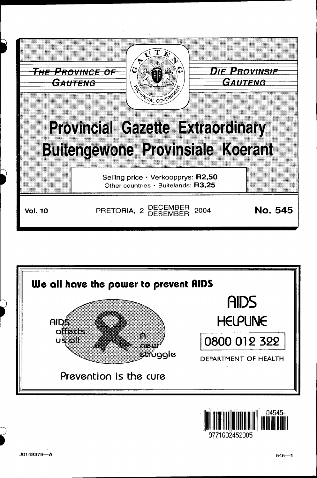





I

~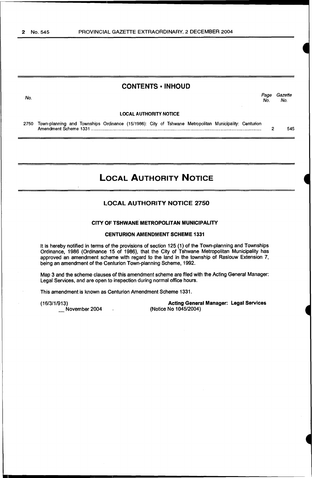# CONTENTS • INHOUD

No. Page Gazette No. No.

#### LOCAL AUTHORITY NOTICE

2750 Town-planning and Townships Ordinance (15/1986): City of Tshwane Metropolitan Municipality: Centurion Amendment Scheme 1331 ........................................................................................................................................... . 2 545

# LOCAL AUTHORITY NOTICE

## LOCAL AUTHORITY NOTICE 2750

#### CITY OF TSHWANE METROPOLITAN MUNICIPALITY

#### CENTURION AMENDMENT SCHEME 1331

It is hereby notified in terms of the provisions of section 125 (1) of the Town-planning and Townships Ordinance, 1986 (Ordinance 15 of 1986), that the City of Tshwane Metropolitan Municipality has approved an amendment scheme with regard to the land in the township of Raslouw Extension 7, being an amendment of the Centurion Town-planning Scheme, 1992.

Map 3 and the scheme clauses of this amendment scheme are filed with the Acting General Manager: Legal Services, and are open to inspection during normal office hours.

This amendment is known as Centurion Amendment Scheme 1331.

 $\ddot{\phantom{a}}$ 

(16/3/1/913)

November 2004

Acting General Manager: Legal Services (Notice No 1045/2004)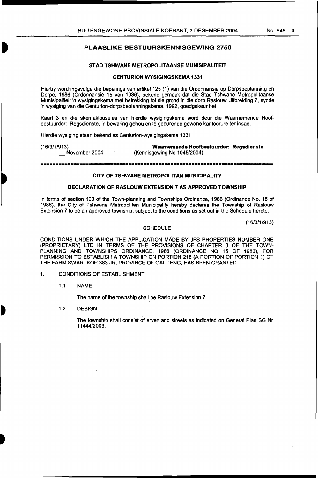### PLAASLIKE BESTUURSKENNISGEWING 2750

#### STAD TSHWANE METROPOLITAANSE MUNISIPALITEIT

#### CENTURION WYSIGINGSKEMA 1331

Hierby word ingevolge die bepalings van artikel 125 ( 1) van die Ordonnansie op Dorpsbeplanning en Dorpe, 1986 (Ordonnansie 15 van 1986), bekend gemaak dat die Stad Tshwane Metropolitaanse Munisipaliteit 'n wysigingskema met betrekking tot die grand in die dorp Raslouw Uitbreiding 7, synde 'n wysiging van die Centurion-dorpsbeplanningskema, 1992, goedgekeur het.

Kaart 3 en die skemaklousules van hierdie wysigingskema word deur die Waarnemende Hoofbestuurder: Regsdienste, in bewaring gehou en lê gedurende gewone kantoorure ter insae.

Hierdie wysiging staan bekend as Centurion-wysigingskema 1331.

(16/3/1/913) November 2004

Waamemende Hoofbestuurder: Regsdienste (Kennisgewing No 1045/2004)

=============================================================================

#### CITY OF TSHWANE METROPOLITAN MUNICIPALITY

#### DECLARATION OF RASLOUW EXTENSION 7 AS APPROVED TOWNSHIP

In terms of section 103 of the Town-planning and Townships Ordinance, 1986 (Ordinance No. 15 of 1986), the City of Tshwane Metropolitan Municipality hereby declares the Township of Raslouw Extension 7 to be an approved township, subject to the conditions as set out in the Schedule hereto.

(16/3/1 /913)

#### **SCHEDULE**

CONDITIONS UNDER WHICH THE APPLICATION MADE BY JFS PROPERTIES NUMBER ONE (PROPRIETARY) LTD IN TERMS OF THE PROVISIONS OF CHAPTER 3 OF THE TOWN-PLANNING AND TOWNSHIPS ORDINANCE, 1986 (ORDINANCE NO 15 OF 1986), FOR PERMISSION TO ESTABLISH A TOWNSHIP ON PORTION 218 (A PORTION OF PORTION 1) OF THE FARM SWARTKOP 383 JR, PROVINCE OF GAUTENG, HAS BEEN GRANTED.

- 1. CONDITIONS OF ESTABLISHMENT
	- 1.1 NAME

The name of the township shall be Raslouw Extension 7.

1.2 DESIGN

The township shall consist of erven and streets as indicated on General Plan SG Nr 11444/2003.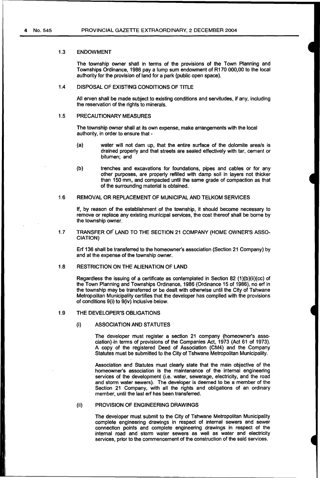#### 1.3 ENDOWMENT

The township owner shall in terms of the provisions of the Town Planning and Townships Ordinance, 1986 pay a lUmp sum endowment of R170 000,00 to the local authority for the provision of land for a park (public open space).

#### 1.4 DISPOSAL OF EXISTING CONDITIONS OF TITLE

All erven shall be made subject to existing conditions and servitudes, if any, including the reservation of the rights to minerals.

#### 1.5 PRECAUTIONARY MEASURES

The township owner shall at its own expense, make arrangements with the local authority, in order to ensure that-

- (a) water will not dam up, that the entire surface of the dolomite area/s is drained properly and that streets are sealed effectively with tar, cement or bitumen; and
- (b) trenches and excavations for foundations, pipes and cables or for any other purposes, are properly refilled with damp soil in layers not thicker than 150 mm, and compacted until the same grade of compaction as that of the surrounding material is obtained.

#### 1.6 REMOVAL OR REPLACEMENT OF MUNICIPAL AND TELKOM SERVICES

If, by reason of the establishment of the township, it should become necessary to remove or replace any existing municipal services, the cost thereof shall be borne by the township owner.

1.7 TRANSFER OF LAND TO THE SECTION 21 COMPANY (HOME OWNER'S ASSO-CIATION)

Erf 136 shall be transferred to the homeowner's association (Section 21 Company) by and at the expense of the township owner.

#### 1.8 RESTRICTION ON THE ALIENATION OF LAND

Regardless the issuing of a certificate as contemplated in Section 82 (1)(b)(ii)(cc) of the Town Planning and Townships Ordinance, 1986 (Ordinance 15 of 1986), no erf in the township may be transferred or be dealt with otherwise until the City of Tshwane Metropolitan Municipality certifies that the developer has complied with the provisions of conditions 9(i) to 9(iv) inclusive below.

#### 1.9 THE DEVELOPER'S OBLIGATIONS

#### (i) ASSOCIATION AND STATUTES··

The developer must register a section 21 company (homeowner's association).in terms of provisions of the Companies Act, 1973 (Act 61 of 1973). A copy of the registered Deed of Association (CM4) and the Company Statutes must be submitted to the City of Tshwane Metropolitan Municipality.

Association and Statutes must clearly state that the main objective of the homeowner's association is the maintenance of the internal engineering services of the development (i.e. water, sewerage, electricity, and the road and storm water sewers). The developer is deemed to be a member of the Section 21 Company, with all the rights and obligations of an ordinary member, until the last erf has been transferred.

#### (ii) PROVISION OF ENGINEERING DRAWINGS

The developer must submit to the City of Tshwane Metropolitan Municipality complete engineering drawings in respect of internal sewers and sewer connection points and complete engineering drawings in respect of the internal road and storm water sewers as well as water and electricity services, prior to the commencement of the construction of the said services.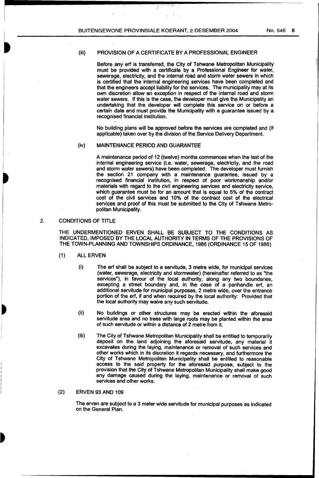$\ddot{\tau}$ 

#### (iii) PROVISION OF A CERTIFICATE BY A PROFESSIONAL ENGINEER

Before any erf is transferred, the City of Tshwane Metropolitan Municipality must be provided with a certificate by a Professional Engineer for water, sewerage, electricity, and the internal road and storm water sewers in which is certified that the internal engineering services have been completed and that the engineers accept liability for the services. The municipality may at its own discretion allow an exception in respect of the internal road and storm water sewers. If this is the case, the developer must give the Municipality an undertaking that the developer will complete this service on or before a certain date and must provide the Municipality with a guarantee issued by a recognised financial institution.

No building plans will be approved before the services are completed and (if applicable) taken over by the division of the Service Delivery Department.

#### (iv) MAINTENANCE PERIOD AND GUARANTEE

A maintenance period of 12 (twelve) months commences when the last of the internal engineering service (i.e. water, sewerage, electricity, and the road and storm water sewers) have been completed. The developer must furnish the section 21 company with a maintenance guarantee, issued by a recognised financial institution, in respect of poor workmanship and/or materials with regard to the civil engineering services and electricity service, which guarantee must be for an amount that is equal to 5% of the contract cost of the civil services and 10% of the contract cost of the electrical services and proof of this must be submitted to the City of Tshwane Metropolitan Municipality.

#### 2. CONDITIONS OF TITLE

THE UNDERMENTIONED ERVEN SHALL BE SUBJECT TO THE CONDITIONS AS INDICATED, IMPOSED BY THE LOCAL AUTHORITY IN TERMS OF THE PROVISIONS OF THE TOWN-PLANNING AND TOWNSHIPS ORDINANCE, 1986 (ORDINANCE 15 OF 1986)

- (1) ALL ERVEN
	- (i) The erf shall be subject to a servitude, 3 metre wide, for municipal services (water, sewerage, electricity and stormwater) (hereinafter referred to as "the services"), in favour of the local authority, along any two boundaries, excepting a street boundary and, in the case of a panhandle erf, an additional servitude for municipal purposes, 2 metre wide, over the entrance portion of the erf, if and when required by the local authority: Provided that the local authority may waive any such servitude.
	- (ii) No buildings or other structures may be erected within the aforesaid servitude area and no trees with large roots may be planted within the area of such servitude or within a distance of 2 metre from it.
	- (iii) The City of Tshwane Metropolitan Municipality shall be entitled to temporarily deposit on the land adjoining the aforesaid servitude, any material it excavates during the laying, maintenance or removal of such services and other works which in its discretion it regards necessary, and furthermore the City of Tshwane Metropolitan Municipality shall be entitled to reasonable access to the said property for the aforesaid purpose, subject to the provision that the City of Tshwane Metropolitan Municipality shall make good any damage caused during the laying, maintenance or removal of such services and other works.

#### (2) ERVEN 93 AND 109

The erven are subject to a 3 meter wide servitude for municipal purposes as indicated on the General Plan.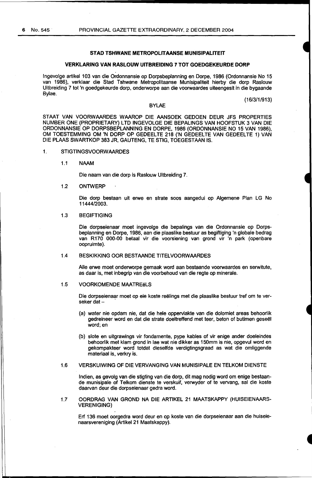#### **STAD TSHWANE METROPOLITAANSE MUNISIPALITEIT**

#### **VERKLARING VAN RASLOUW UITBREIDING 7 TOT GOEDGEKEURDE DORP**

lngevolge artikel 103 van die Ordonnansie op Dorpsbeplanning en Dorpe, 1986 (Ordonnansie No 15 van 1986), verklaar die Stad Tshwane Metropolitaanse Munisipaliteit hierby die dorp Raslouw Uitbreiding 7 tot 'n goedgekeurde dorp, onderworpe aan die voorwaardes uiteengesit in die bygaande Bylae.

#### BYLAE

(16/3/1/913)

STAAT VAN VOORWAARDES WAAROP DIE AANSOEK GEDOEN DEUR JFS PROPERTIES NUMBER ONE (PROPRIETARY) LTD INGEVOLGE DIE BEPALINGS VAN HOOFSTUK 3 VAN DIE ORDONNANSIE OP DORPSBEPLANNING EN DORPE, 1986 (ORDONNANSIE NO 15 VAN 1986), OM TOESTEMMING OM 'N DORP OP GEDEELTE 218 ('N GEDEELTE VAN GEDEELTE 1) VAN DIE PLAAS SWARTKOP 383 JR, GAUTENG, TE STIG, TOEGESTAAN IS.

#### 1. STIGTINGSVOORW AARDES

1.1 NAAM

Die naam van die dorp is Raslouw Uitbreiding 7.

1.2 ONTWERP

Die dorp bestaan uit erwe en strate soos aangedui op Algemene Plan LG No 11444/2003.

#### 1.3 BEGIFTIGING

Die dorpseienaar moet ingevolge die bepalings van die Ordonnansie op Dorpsbeplanning en Dorpe, 1986, aan die plaaslike bestuur as begiftiging 'n globale bedrag van R170 000-00 betaal vir die voorsiening van grond vir 'n park (openbare oopruimte).

#### 1.4 BESKIKKING OOR BESTAANDE TITELVOORWAARDES

Aile erwe moet onderworpe gemaak word aan bestaande voorwaardes en serwitute, as daar is, met inbegrip van die voorbehoud van die regte op minerale.

#### 1.5 VOORKOMENDE MAATREëLS

Die dorpseienaar moet op eie koste reelings met die plaaslike bestuur tref om te verseker dat -

- (a) water nie opdam nie, dat die hele oppervlakte van die dolomiet areas behoorlik gedreineer word en dat die strate doeltreffend met teer, beton of butimen geseel word; en
- (b) slote en uitgrawings vir fondamente, pype kables of vir enige ander doeleindes behoorlik met klam grond in lae wat nie dikker as 150mm is nie, opgevul word en gekompakteer word totdat dieselfde verdigtingsgraad as wat die omliggende materiaal is, verkry is.

#### 1.6 VERSKUIWING OF DIE VERVANGING VAN MUNISIPALE EN TELKOM DIENSTE

lndien, as gevolg van die stigting van die dorp, dit mag nodig word om enige bestaande munisipale of Telkom dienste te verskuif, verwyder of te vervang, sal die koste daarvan deur die dorpseienaar gedra word.

1.7 OORDRAG VAN GROND NA DIE ARTIKEL 21 MAATSKAPPY (HUISEIENAARS-VERENIGING)

Erf 136 moet oorgedra word deur en op koste van die dorpseienaar aan die huiseienaarsvereniging (Artikel 21 Maatskappy).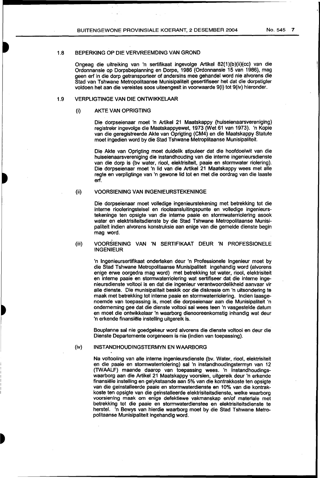#### 1.8 BEPERKING OP DIE VERVREEMDING VAN GROND

Ongeag die uitreiking van 'n sertifikaat ingevolge Artikel 82(1 )(b)(ii)(cc) van die Ordonnansie op Dorpsbeplanning en Dorpe, 1986 (Ordonnansie 15 van 1986), mag geen erf in die dorp getransporteer of andersins mee gehandel word nie alvorens die Stad van Tshwane Metropolitaanse Munisipaliteit gesertifiseer het dat die dorpstigter voldoen het aan die vereistes soos uiteengesit in voorwaarde 9(i) tot 9(iv) hieronder.

#### 1.9 VERPLIGTINGE VAN DIE ONTWIKKELAAR

#### (i) AKTE VAN OPRIGTING

Die dorpseienaar moet 'n Artikel 21 Maatskappy (huiseienaarsvereniging) registreer ingevolge die Maatskappyewet, 1973 (Wet 61 van 1973). 'n Kopie van die geregistreerde Akte van Oprigting (CM4) en die Maatskappy Statute moet ingedien word by die Stad Tshwane Metroplitaanse Munisipaliteit.

Die Akte van Oprigting moet duidelik stipuleer dat die hoofdoelwit van die huiseienaarsvereniging die instandhouding van die interne ingenieursdienste van die dorp is (bv water, riool, elektrisiteit, paaie en stormwater riolering). Die dorpseienaar moet 'n lid van die Artikel 21 Maatskappy wees met aile regte en verpligtinge van 'n gewone lid tot en met die oordrag van die laaste erf.

#### (ii) VOORSIENING VAN INGENIEURSTEKENINGE

Die dorpseienaar moet volledige ingenieurstekening met betrekking tot die interne riooleringstelsel en rioolaansluitingspunte en volledige ingenieurstekeninge ten opsigte van die interne paaie en stormwaterriolering asook water en elektrisiteitsdienste by die Stad Tshwane Metropolitaanse Munisipaliteit indien alvorens konstruksie aan enige van die gemelde dienste begin mag word.

#### (iii) VOORSIENING VAN 'N SERTIFIKAAT DEUR 'N PROFESSIONELE INGENIEUR

'n lngenieursertifikaat onderteken deur 'n Professionele lngenieur moet by die Stad Tshwane Metropolitaanse Munlsipaliteit ingehandig word (alvorens enige erwe oorgedra mag word) met betrekking tot water, riool, elektrisiteit en interne paaie en stormwaterriolering wat sertifiseer dat die interne ingenieursdienste voltooi is en dat die ingenieur verantwoordelikheid aanvaar vir aile dienste. Die munisipaliteit beskik oor die diskresie om 'n uitsondering te maak met betrekking tot interne paaie en stormwaterriolering. lndien laasgenoemde van toepassing is, moet die dorpseienaar aan die Munisipaliteit 'n onderneming gee dat die dienste voltooi sal wees teen 'n vasgestelde datum en moet die ontwikkelaar 'n waarborg dienooreenkomstig inhandig wat deur 'n erkende finansiele installing uitgereik is.

Bouplanne sal nie goedgekeur word alvorens die dlenste voltooi en deur die Dienste Departemente oorgeneem is nie (indien van toepassing).

#### (iv) INSTANDHOUDINGSTERMYN EN WAARBORG

Na voltooiing van aile interne ingenieursdienste (bv. Water, riool, elektrisiteit en die paaie en stormwaterriolering) sal 'n instandhoudingstermyn van 12 (TWAALF) maande daarop van toepassing wees. 'n Instandhoudingswaarborg aan die Artikel 21 Maatskappy voorsien, uitgereik deur 'n erkende finansiële instelling en gelykstaande aan 5% van die kontrakkoste ten opsigte van die geinstalleerde paaie en stormwaterdienste en 10% van die kontrakkoste ten opsigte van die geinstalleerde elektrisiteitsdienste, welke waarborg voorsiening maak om enige defektiewe vakmanskap en/of materiale met betrekking tot die paaie en stormwaterdienstee en elektrisiteitsdienste te herstel. 'n Bewys van hierdie waarborg moet by die Stad Tshwane Metropolitaanse Munisipaliteit lngehandig word.